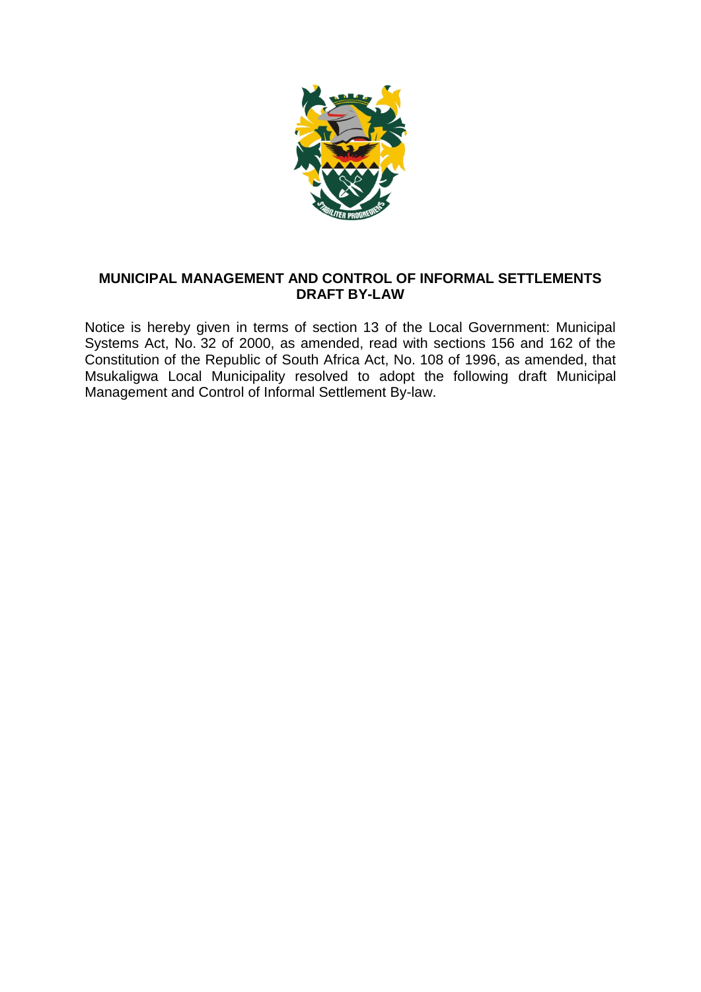

## **MUNICIPAL MANAGEMENT AND CONTROL OF INFORMAL SETTLEMENTS DRAFT BY-LAW**

Notice is hereby given in terms of section 13 of the Local Government: Municipal Systems Act, No. 32 of 2000, as amended, read with sections 156 and 162 of the Constitution of the Republic of South Africa Act, No. 108 of 1996, as amended, that Msukaligwa Local Municipality resolved to adopt the following draft Municipal Management and Control of Informal Settlement By-law.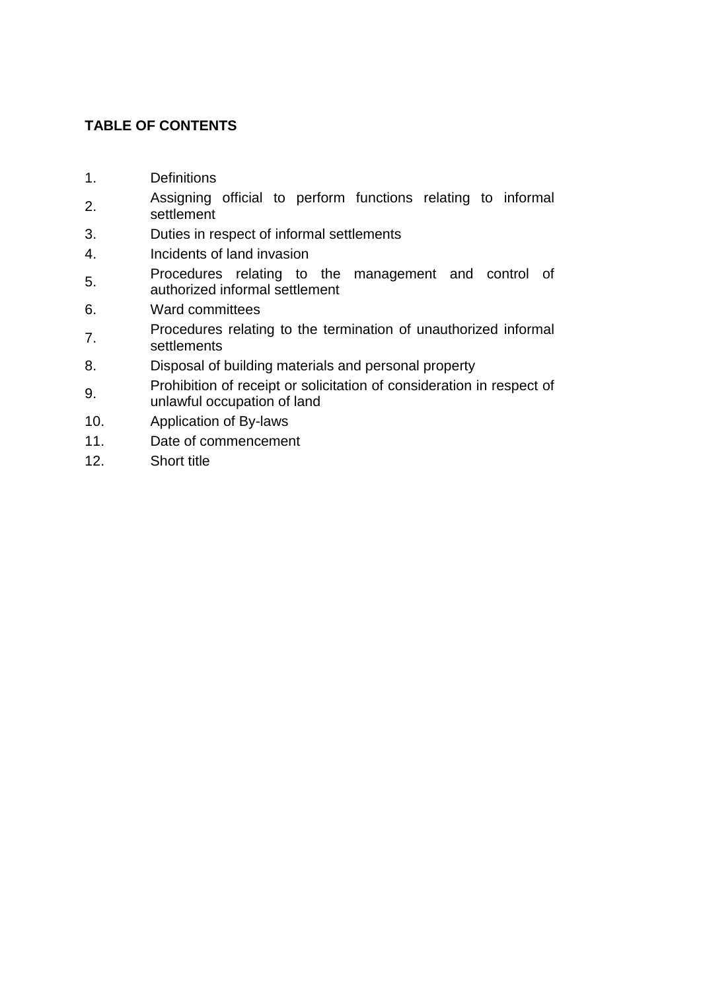# **TABLE OF CONTENTS**

- [1.](http://www.mylexisnexis.co.za/nxt/gateway.dll/tlwzb/ipzdc/n4rgc/o4rgc/p4rgc/q4rgc/57rgc/67rgc/f8ugc/rcvgc#g0) Definitions
- [2.](http://www.mylexisnexis.co.za/nxt/gateway.dll/tlwzb/ipzdc/n4rgc/o4rgc/p4rgc/q4rgc/57rgc/67rgc/f8ugc/scvgc#g1) Assigning official to perform functions relating to informal settlement
- [3.](http://www.mylexisnexis.co.za/nxt/gateway.dll/tlwzb/ipzdc/n4rgc/o4rgc/p4rgc/q4rgc/57rgc/67rgc/f8ugc/tcvgc#g2) Duties in respect of informal settlements
- [4.](http://www.mylexisnexis.co.za/nxt/gateway.dll/tlwzb/ipzdc/n4rgc/o4rgc/p4rgc/q4rgc/57rgc/67rgc/f8ugc/ucvgc#g3) Incidents of land invasion
- [5.](http://www.mylexisnexis.co.za/nxt/gateway.dll/tlwzb/ipzdc/n4rgc/o4rgc/p4rgc/q4rgc/57rgc/67rgc/f8ugc/vcvgc#g4) Procedures relating to the management and control of authorized informal settlement
- [6.](http://www.mylexisnexis.co.za/nxt/gateway.dll/tlwzb/ipzdc/n4rgc/o4rgc/p4rgc/q4rgc/57rgc/67rgc/f8ugc/wcvgc#g5) Ward committees
- [7.](http://www.mylexisnexis.co.za/nxt/gateway.dll/tlwzb/ipzdc/n4rgc/o4rgc/p4rgc/q4rgc/57rgc/67rgc/f8ugc/xcvgc#g6) Procedures relating to the termination of unauthorized informal settlements
- [8.](http://www.mylexisnexis.co.za/nxt/gateway.dll/tlwzb/ipzdc/n4rgc/o4rgc/p4rgc/q4rgc/57rgc/67rgc/f8ugc/ycvgc#g7) Disposal of building materials and personal property
- [9.](http://www.mylexisnexis.co.za/nxt/gateway.dll/tlwzb/ipzdc/n4rgc/o4rgc/p4rgc/q4rgc/57rgc/67rgc/f8ugc/zcvgc#g8) Prohibition of receipt or solicitation of consideration in respect of unlawful occupation of land
- [10.](http://www.mylexisnexis.co.za/nxt/gateway.dll/tlwzb/ipzdc/n4rgc/o4rgc/p4rgc/q4rgc/57rgc/67rgc/f8ugc/0cvgc#g9) Application of By-laws
- [11.](http://www.mylexisnexis.co.za/nxt/gateway.dll/tlwzb/ipzdc/n4rgc/o4rgc/p4rgc/q4rgc/57rgc/67rgc/f8ugc/1cvgc#ga) Date of commencement
- [12.](http://www.mylexisnexis.co.za/nxt/gateway.dll/tlwzb/ipzdc/n4rgc/o4rgc/p4rgc/q4rgc/57rgc/67rgc/f8ugc/2cvgc#gb) Short title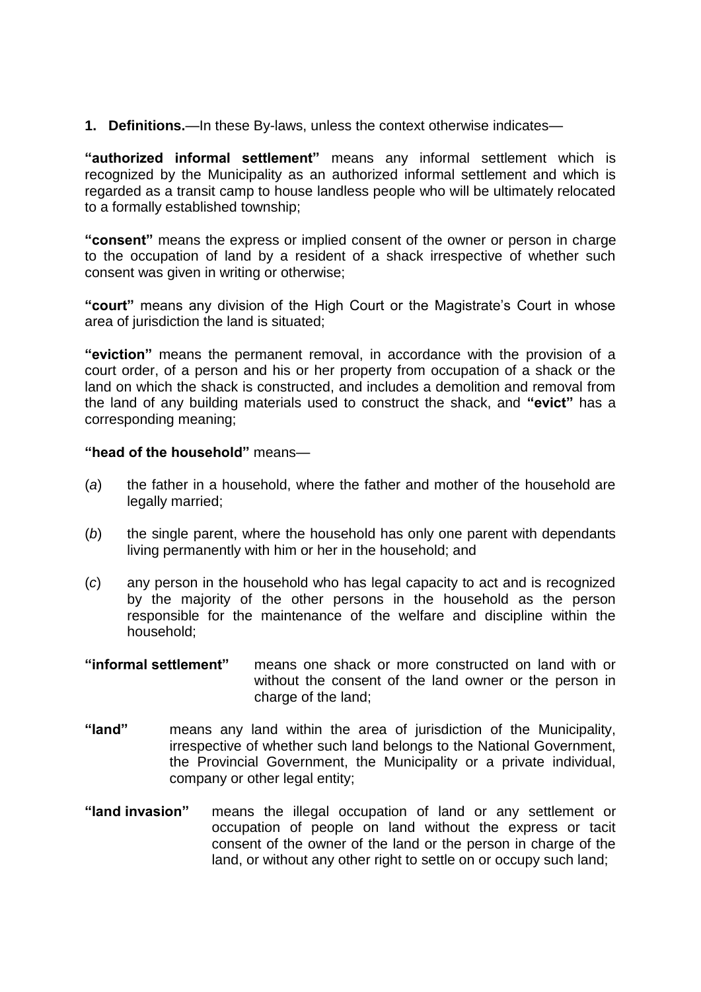**1. Definitions.**—In these By-laws, unless the context otherwise indicates—

**"authorized informal settlement"** means any informal settlement which is recognized by the Municipality as an authorized informal settlement and which is regarded as a transit camp to house landless people who will be ultimately relocated to a formally established township;

**"consent"** means the express or implied consent of the owner or person in charge to the occupation of land by a resident of a shack irrespective of whether such consent was given in writing or otherwise;

**"court"** means any division of the High Court or the Magistrate's Court in whose area of jurisdiction the land is situated;

**"eviction"** means the permanent removal, in accordance with the provision of a court order, of a person and his or her property from occupation of a shack or the land on which the shack is constructed, and includes a demolition and removal from the land of any building materials used to construct the shack, and **"evict"** has a corresponding meaning;

### **"head of the household"** means—

- (*a*) the father in a household, where the father and mother of the household are legally married;
- (*b*) the single parent, where the household has only one parent with dependants living permanently with him or her in the household; and
- (*c*) any person in the household who has legal capacity to act and is recognized by the majority of the other persons in the household as the person responsible for the maintenance of the welfare and discipline within the household;
- **"informal settlement"** means one shack or more constructed on land with or without the consent of the land owner or the person in charge of the land:
- **"land"** means any land within the area of jurisdiction of the Municipality, irrespective of whether such land belongs to the National Government, the Provincial Government, the Municipality or a private individual, company or other legal entity;
- **"land invasion"** means the illegal occupation of land or any settlement or occupation of people on land without the express or tacit consent of the owner of the land or the person in charge of the land, or without any other right to settle on or occupy such land;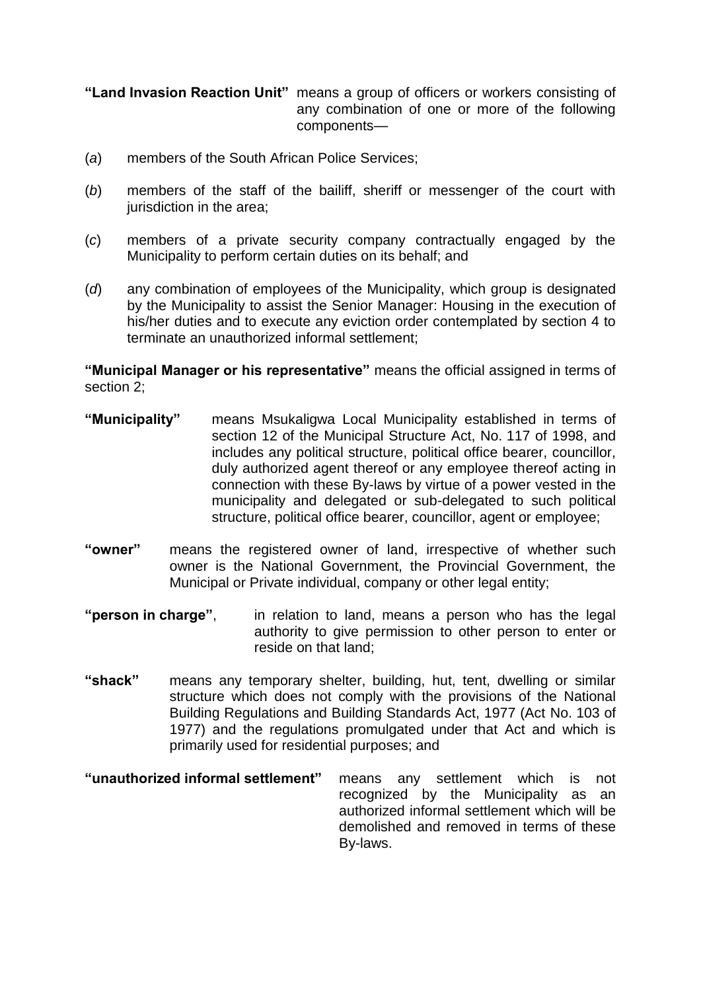#### **"Land Invasion Reaction Unit"** means a group of officers or workers consisting of any combination of one or more of the following components—

- (*a*) members of the South African Police Services;
- (*b*) members of the staff of the bailiff, sheriff or messenger of the court with jurisdiction in the area;
- (*c*) members of a private security company contractually engaged by the Municipality to perform certain duties on its behalf; and
- (*d*) any combination of employees of the Municipality, which group is designated by the Municipality to assist the Senior Manager: Housing in the execution of his/her duties and to execute any eviction order contemplated by section 4 to terminate an unauthorized informal settlement;

**"Municipal Manager or his representative"** means the official assigned in terms of section 2;

- **"Municipality"** means Msukaligwa Local Municipality established in terms of section 12 of the Municipal Structure Act, No. 117 of 1998, and includes any political structure, political office bearer, councillor, duly authorized agent thereof or any employee thereof acting in connection with these By-laws by virtue of a power vested in the municipality and delegated or sub-delegated to such political structure, political office bearer, councillor, agent or employee;
- **"owner"** means the registered owner of land, irrespective of whether such owner is the National Government, the Provincial Government, the Municipal or Private individual, company or other legal entity;
- **"person in charge"**, in relation to land, means a person who has the legal authority to give permission to other person to enter or reside on that land;
- **"shack"** means any temporary shelter, building, hut, tent, dwelling or similar structure which does not comply with the provisions of the National Building Regulations and Building Standards Act, 1977 (Act No. 103 of 1977) and the regulations promulgated under that Act and which is primarily used for residential purposes; and
- **"unauthorized informal settlement"** means any settlement which is not recognized by the Municipality as an authorized informal settlement which will be demolished and removed in terms of these By-laws.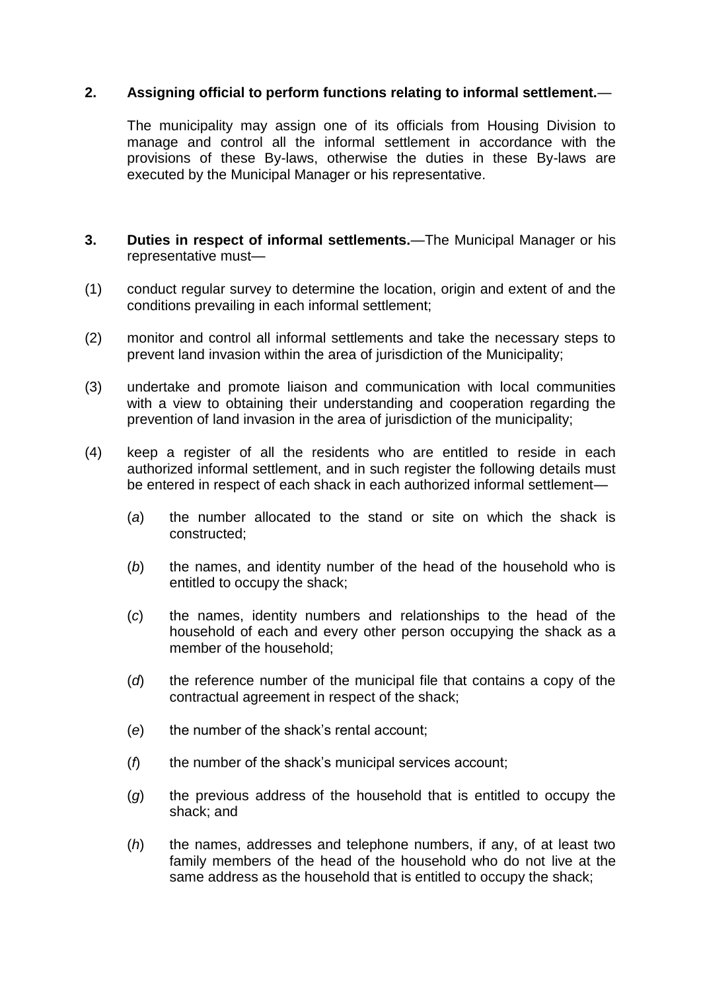## **2. Assigning official to perform functions relating to informal settlement.**—

The municipality may assign one of its officials from Housing Division to manage and control all the informal settlement in accordance with the provisions of these By-laws, otherwise the duties in these By-laws are executed by the Municipal Manager or his representative.

- **3. Duties in respect of informal settlements.**—The Municipal Manager or his representative must—
- (1) conduct regular survey to determine the location, origin and extent of and the conditions prevailing in each informal settlement;
- (2) monitor and control all informal settlements and take the necessary steps to prevent land invasion within the area of jurisdiction of the Municipality;
- (3) undertake and promote liaison and communication with local communities with a view to obtaining their understanding and cooperation regarding the prevention of land invasion in the area of jurisdiction of the municipality;
- (4) keep a register of all the residents who are entitled to reside in each authorized informal settlement, and in such register the following details must be entered in respect of each shack in each authorized informal settlement—
	- (*a*) the number allocated to the stand or site on which the shack is constructed;
	- (*b*) the names, and identity number of the head of the household who is entitled to occupy the shack;
	- (*c*) the names, identity numbers and relationships to the head of the household of each and every other person occupying the shack as a member of the household;
	- (*d*) the reference number of the municipal file that contains a copy of the contractual agreement in respect of the shack;
	- (*e*) the number of the shack's rental account;
	- (*f*) the number of the shack's municipal services account;
	- (*g*) the previous address of the household that is entitled to occupy the shack; and
	- (*h*) the names, addresses and telephone numbers, if any, of at least two family members of the head of the household who do not live at the same address as the household that is entitled to occupy the shack;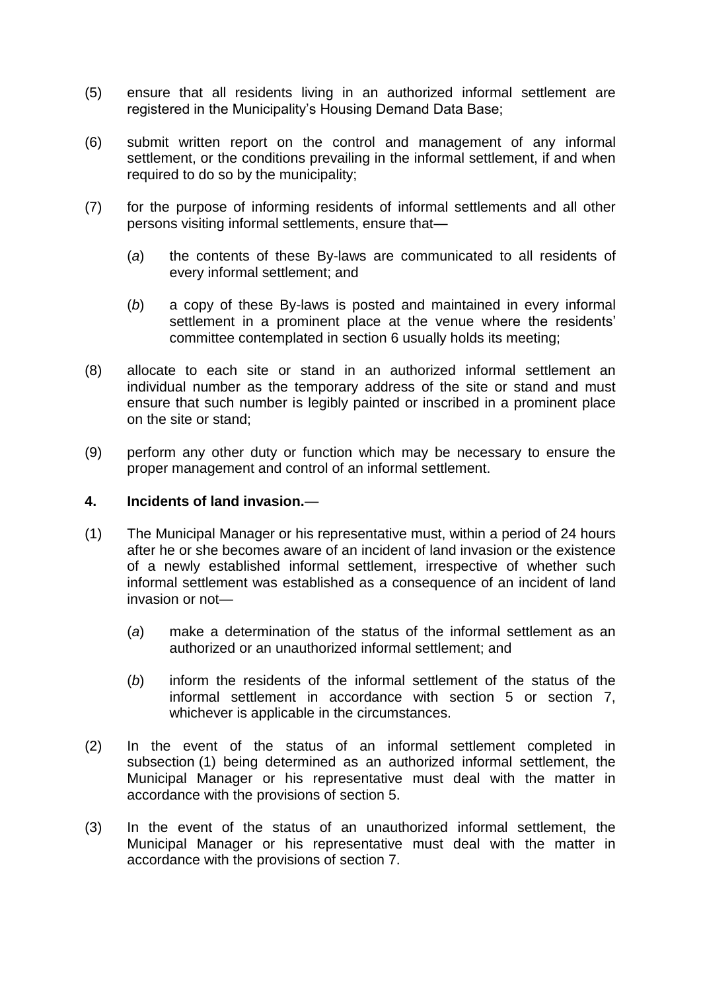- (5) ensure that all residents living in an authorized informal settlement are registered in the Municipality's Housing Demand Data Base;
- (6) submit written report on the control and management of any informal settlement, or the conditions prevailing in the informal settlement, if and when required to do so by the municipality;
- (7) for the purpose of informing residents of informal settlements and all other persons visiting informal settlements, ensure that—
	- (*a*) the contents of these By-laws are communicated to all residents of every informal settlement; and
	- (*b*) a copy of these By-laws is posted and maintained in every informal settlement in a prominent place at the venue where the residents' committee contemplated in section 6 usually holds its meeting;
- (8) allocate to each site or stand in an authorized informal settlement an individual number as the temporary address of the site or stand and must ensure that such number is legibly painted or inscribed in a prominent place on the site or stand;
- (9) perform any other duty or function which may be necessary to ensure the proper management and control of an informal settlement.

#### **4. Incidents of land invasion.**—

- (1) The Municipal Manager or his representative must, within a period of 24 hours after he or she becomes aware of an incident of land invasion or the existence of a newly established informal settlement, irrespective of whether such informal settlement was established as a consequence of an incident of land invasion or not—
	- (*a*) make a determination of the status of the informal settlement as an authorized or an unauthorized informal settlement; and
	- (*b*) inform the residents of the informal settlement of the status of the informal settlement in accordance with section 5 or section 7, whichever is applicable in the circumstances.
- (2) In the event of the status of an informal settlement completed in subsection (1) being determined as an authorized informal settlement, the Municipal Manager or his representative must deal with the matter in accordance with the provisions of section 5.
- (3) In the event of the status of an unauthorized informal settlement, the Municipal Manager or his representative must deal with the matter in accordance with the provisions of section 7.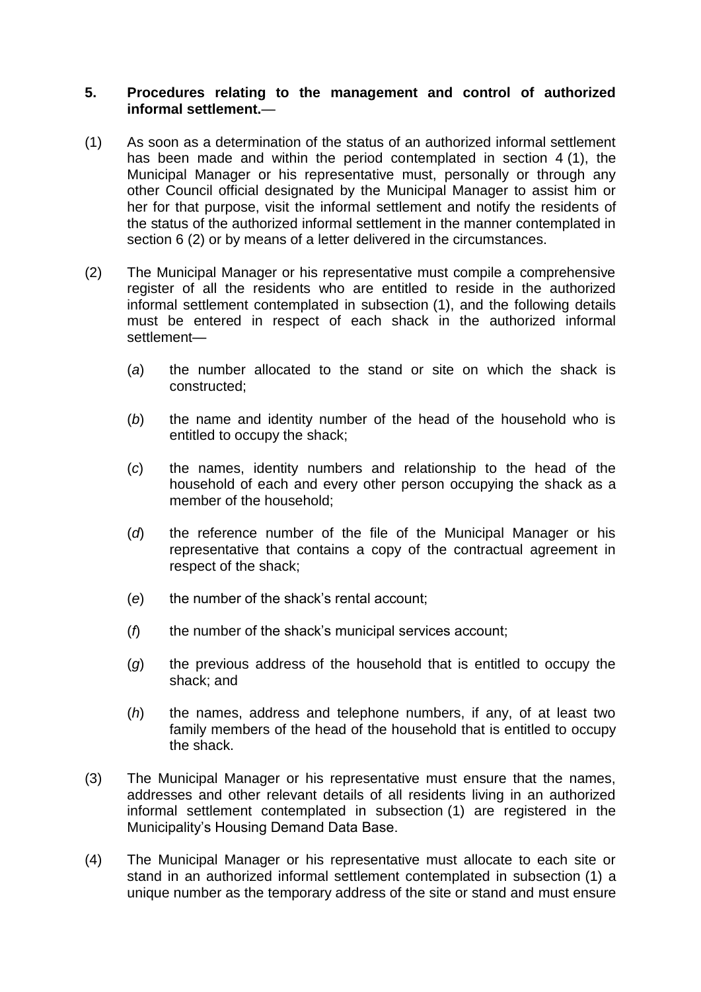#### **5. Procedures relating to the management and control of authorized informal settlement.**—

- (1) As soon as a determination of the status of an authorized informal settlement has been made and within the period contemplated in section 4 (1), the Municipal Manager or his representative must, personally or through any other Council official designated by the Municipal Manager to assist him or her for that purpose, visit the informal settlement and notify the residents of the status of the authorized informal settlement in the manner contemplated in section 6 (2) or by means of a letter delivered in the circumstances.
- (2) The Municipal Manager or his representative must compile a comprehensive register of all the residents who are entitled to reside in the authorized informal settlement contemplated in subsection (1), and the following details must be entered in respect of each shack in the authorized informal settlement—
	- (*a*) the number allocated to the stand or site on which the shack is constructed;
	- (*b*) the name and identity number of the head of the household who is entitled to occupy the shack;
	- (*c*) the names, identity numbers and relationship to the head of the household of each and every other person occupying the shack as a member of the household;
	- (*d*) the reference number of the file of the Municipal Manager or his representative that contains a copy of the contractual agreement in respect of the shack;
	- (*e*) the number of the shack's rental account;
	- (*f*) the number of the shack's municipal services account;
	- (*g*) the previous address of the household that is entitled to occupy the shack; and
	- (*h*) the names, address and telephone numbers, if any, of at least two family members of the head of the household that is entitled to occupy the shack.
- (3) The Municipal Manager or his representative must ensure that the names, addresses and other relevant details of all residents living in an authorized informal settlement contemplated in subsection (1) are registered in the Municipality's Housing Demand Data Base.
- (4) The Municipal Manager or his representative must allocate to each site or stand in an authorized informal settlement contemplated in subsection (1) a unique number as the temporary address of the site or stand and must ensure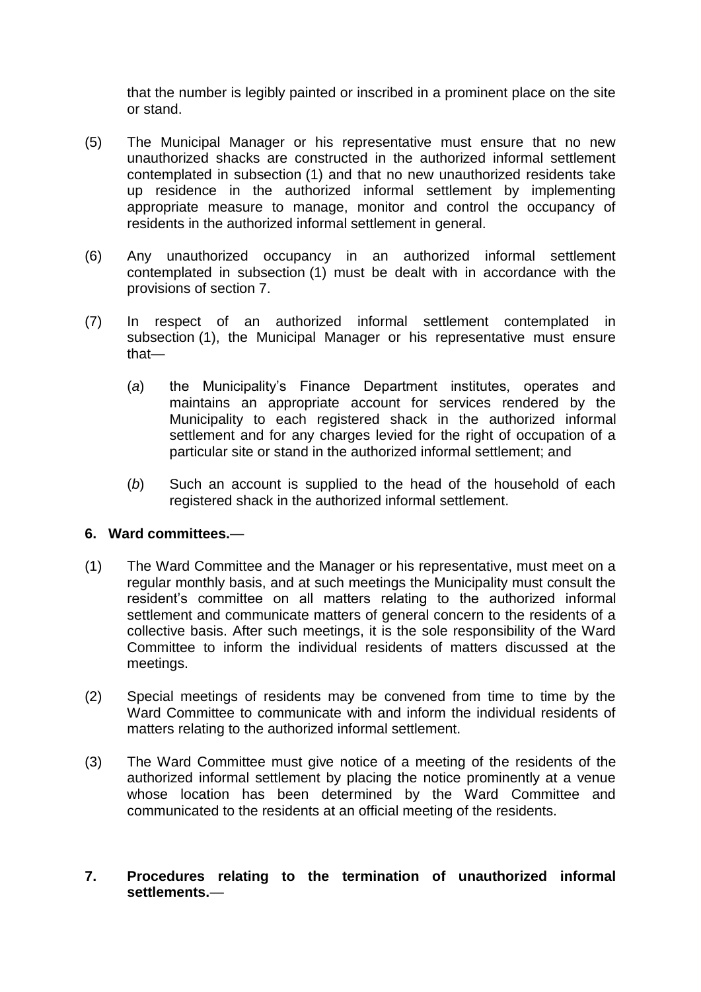that the number is legibly painted or inscribed in a prominent place on the site or stand.

- (5) The Municipal Manager or his representative must ensure that no new unauthorized shacks are constructed in the authorized informal settlement contemplated in subsection (1) and that no new unauthorized residents take up residence in the authorized informal settlement by implementing appropriate measure to manage, monitor and control the occupancy of residents in the authorized informal settlement in general.
- (6) Any unauthorized occupancy in an authorized informal settlement contemplated in subsection (1) must be dealt with in accordance with the provisions of section 7.
- (7) In respect of an authorized informal settlement contemplated in subsection (1), the Municipal Manager or his representative must ensure that—
	- (*a*) the Municipality's Finance Department institutes, operates and maintains an appropriate account for services rendered by the Municipality to each registered shack in the authorized informal settlement and for any charges levied for the right of occupation of a particular site or stand in the authorized informal settlement; and
	- (*b*) Such an account is supplied to the head of the household of each registered shack in the authorized informal settlement.

### **6. Ward committees.**—

- (1) The Ward Committee and the Manager or his representative, must meet on a regular monthly basis, and at such meetings the Municipality must consult the resident's committee on all matters relating to the authorized informal settlement and communicate matters of general concern to the residents of a collective basis. After such meetings, it is the sole responsibility of the Ward Committee to inform the individual residents of matters discussed at the meetings.
- (2) Special meetings of residents may be convened from time to time by the Ward Committee to communicate with and inform the individual residents of matters relating to the authorized informal settlement.
- (3) The Ward Committee must give notice of a meeting of the residents of the authorized informal settlement by placing the notice prominently at a venue whose location has been determined by the Ward Committee and communicated to the residents at an official meeting of the residents.

## **7. Procedures relating to the termination of unauthorized informal settlements.**—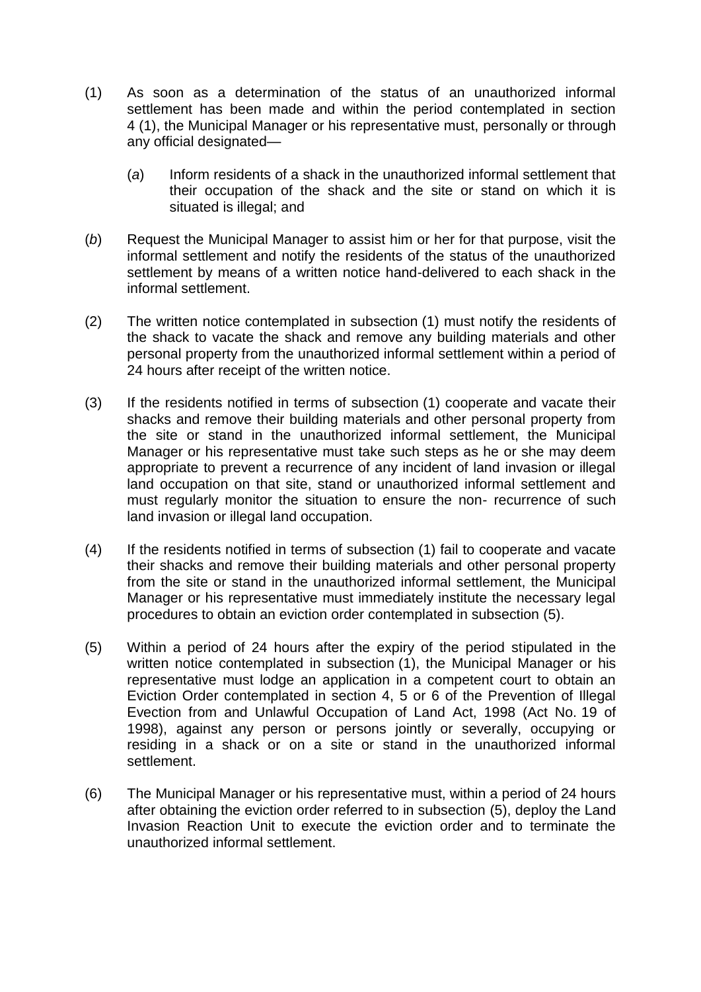- (1) As soon as a determination of the status of an unauthorized informal settlement has been made and within the period contemplated in section 4 (1), the Municipal Manager or his representative must, personally or through any official designated—
	- (*a*) Inform residents of a shack in the unauthorized informal settlement that their occupation of the shack and the site or stand on which it is situated is illegal; and
- (*b*) Request the Municipal Manager to assist him or her for that purpose, visit the informal settlement and notify the residents of the status of the unauthorized settlement by means of a written notice hand-delivered to each shack in the informal settlement.
- (2) The written notice contemplated in subsection (1) must notify the residents of the shack to vacate the shack and remove any building materials and other personal property from the unauthorized informal settlement within a period of 24 hours after receipt of the written notice.
- (3) If the residents notified in terms of subsection (1) cooperate and vacate their shacks and remove their building materials and other personal property from the site or stand in the unauthorized informal settlement, the Municipal Manager or his representative must take such steps as he or she may deem appropriate to prevent a recurrence of any incident of land invasion or illegal land occupation on that site, stand or unauthorized informal settlement and must regularly monitor the situation to ensure the non- recurrence of such land invasion or illegal land occupation.
- (4) If the residents notified in terms of subsection (1) fail to cooperate and vacate their shacks and remove their building materials and other personal property from the site or stand in the unauthorized informal settlement, the Municipal Manager or his representative must immediately institute the necessary legal procedures to obtain an eviction order contemplated in subsection (5).
- (5) Within a period of 24 hours after the expiry of the period stipulated in the written notice contemplated in subsection (1), the Municipal Manager or his representative must lodge an application in a competent court to obtain an Eviction Order contemplated in section 4, 5 or 6 of the Prevention of Illegal Evection from and Unlawful Occupation of Land Act, 1998 (Act No. 19 of 1998), against any person or persons jointly or severally, occupying or residing in a shack or on a site or stand in the unauthorized informal settlement.
- (6) The Municipal Manager or his representative must, within a period of 24 hours after obtaining the eviction order referred to in subsection (5), deploy the Land Invasion Reaction Unit to execute the eviction order and to terminate the unauthorized informal settlement.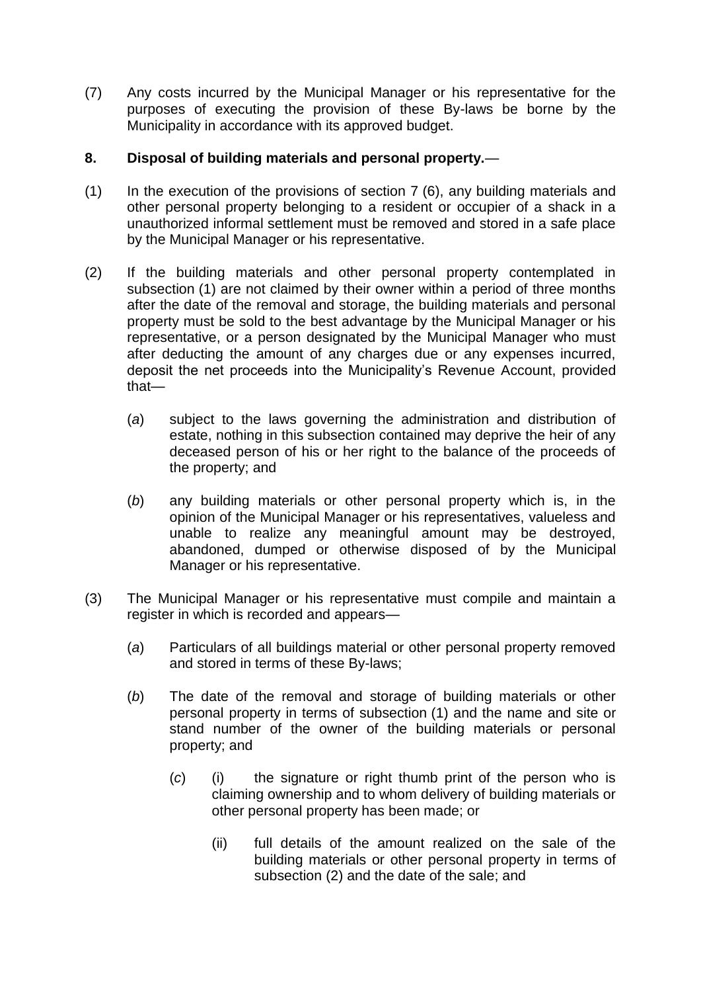(7) Any costs incurred by the Municipal Manager or his representative for the purposes of executing the provision of these By-laws be borne by the Municipality in accordance with its approved budget.

## **8. Disposal of building materials and personal property.**—

- (1) In the execution of the provisions of section 7 (6), any building materials and other personal property belonging to a resident or occupier of a shack in a unauthorized informal settlement must be removed and stored in a safe place by the Municipal Manager or his representative.
- (2) If the building materials and other personal property contemplated in subsection (1) are not claimed by their owner within a period of three months after the date of the removal and storage, the building materials and personal property must be sold to the best advantage by the Municipal Manager or his representative, or a person designated by the Municipal Manager who must after deducting the amount of any charges due or any expenses incurred, deposit the net proceeds into the Municipality's Revenue Account, provided that—
	- (*a*) subject to the laws governing the administration and distribution of estate, nothing in this subsection contained may deprive the heir of any deceased person of his or her right to the balance of the proceeds of the property; and
	- (*b*) any building materials or other personal property which is, in the opinion of the Municipal Manager or his representatives, valueless and unable to realize any meaningful amount may be destroyed, abandoned, dumped or otherwise disposed of by the Municipal Manager or his representative.
- (3) The Municipal Manager or his representative must compile and maintain a register in which is recorded and appears—
	- (*a*) Particulars of all buildings material or other personal property removed and stored in terms of these By-laws;
	- (*b*) The date of the removal and storage of building materials or other personal property in terms of subsection (1) and the name and site or stand number of the owner of the building materials or personal property; and
		- (*c*) (i) the signature or right thumb print of the person who is claiming ownership and to whom delivery of building materials or other personal property has been made; or
			- (ii) full details of the amount realized on the sale of the building materials or other personal property in terms of subsection (2) and the date of the sale; and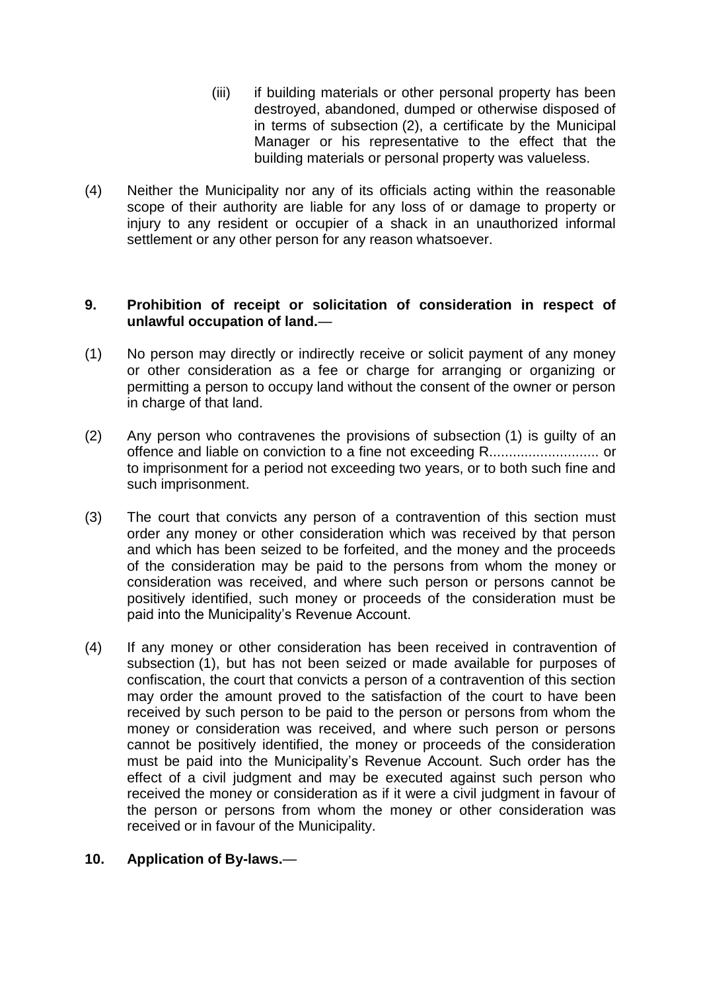- (iii) if building materials or other personal property has been destroyed, abandoned, dumped or otherwise disposed of in terms of subsection (2), a certificate by the Municipal Manager or his representative to the effect that the building materials or personal property was valueless.
- (4) Neither the Municipality nor any of its officials acting within the reasonable scope of their authority are liable for any loss of or damage to property or injury to any resident or occupier of a shack in an unauthorized informal settlement or any other person for any reason whatsoever.

#### **9. Prohibition of receipt or solicitation of consideration in respect of unlawful occupation of land.**—

- (1) No person may directly or indirectly receive or solicit payment of any money or other consideration as a fee or charge for arranging or organizing or permitting a person to occupy land without the consent of the owner or person in charge of that land.
- (2) Any person who contravenes the provisions of subsection (1) is guilty of an offence and liable on conviction to a fine not exceeding R............................ or to imprisonment for a period not exceeding two years, or to both such fine and such imprisonment.
- (3) The court that convicts any person of a contravention of this section must order any money or other consideration which was received by that person and which has been seized to be forfeited, and the money and the proceeds of the consideration may be paid to the persons from whom the money or consideration was received, and where such person or persons cannot be positively identified, such money or proceeds of the consideration must be paid into the Municipality's Revenue Account.
- (4) If any money or other consideration has been received in contravention of subsection (1), but has not been seized or made available for purposes of confiscation, the court that convicts a person of a contravention of this section may order the amount proved to the satisfaction of the court to have been received by such person to be paid to the person or persons from whom the money or consideration was received, and where such person or persons cannot be positively identified, the money or proceeds of the consideration must be paid into the Municipality's Revenue Account. Such order has the effect of a civil judgment and may be executed against such person who received the money or consideration as if it were a civil judgment in favour of the person or persons from whom the money or other consideration was received or in favour of the Municipality.

### **10. Application of By-laws.**—